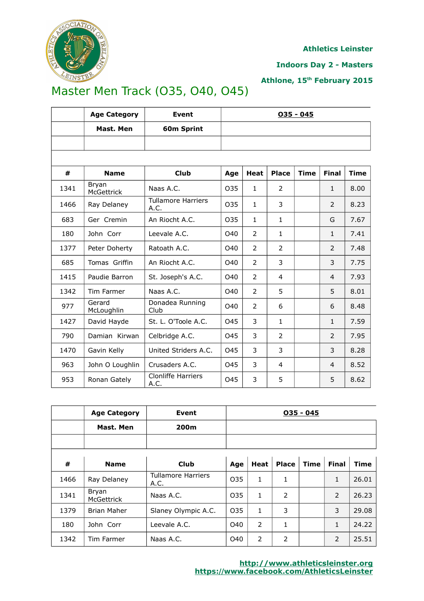

**Indoors Day 2 - Masters**

**Athlone, 15th February 2015**

# Master Men Track (O35, O40, O45)

|      | <b>Age Category</b>        | <b>Event</b>                      | $035 - 045$ |                |                |             |                |             |  |
|------|----------------------------|-----------------------------------|-------------|----------------|----------------|-------------|----------------|-------------|--|
|      | Mast. Men                  | 60m Sprint                        |             |                |                |             |                |             |  |
|      |                            |                                   |             |                |                |             |                |             |  |
|      |                            |                                   |             |                |                |             |                |             |  |
| #    | <b>Name</b>                | <b>Club</b>                       | Age         | <b>Heat</b>    | <b>Place</b>   | <b>Time</b> | <b>Final</b>   | <b>Time</b> |  |
| 1341 | Bryan<br><b>McGettrick</b> | Naas A.C.                         | O35         | $\mathbf{1}$   | 2              |             | $\mathbf{1}$   | 8.00        |  |
| 1466 | Ray Delaney                | <b>Tullamore Harriers</b><br>A.C. | 035         | $\mathbf{1}$   | 3              |             | $\overline{2}$ | 8.23        |  |
| 683  | Ger Cremin                 | An Riocht A.C.                    | O35         | $\mathbf{1}$   | $\mathbf{1}$   |             | G              | 7.67        |  |
| 180  | John Corr                  | Leevale A.C.                      | O40         | 2              | $\mathbf{1}$   |             | $\mathbf{1}$   | 7.41        |  |
| 1377 | Peter Doherty              | Ratoath A.C.                      | O40         | $\overline{2}$ | $\overline{2}$ |             | 2              | 7.48        |  |
| 685  | Tomas Griffin              | An Riocht A.C.                    | O40         | $\overline{2}$ | 3              |             | 3              | 7.75        |  |
| 1415 | Paudie Barron              | St. Joseph's A.C.                 | O40         | $\overline{2}$ | $\overline{4}$ |             | $\overline{4}$ | 7.93        |  |
| 1342 | Tim Farmer                 | Naas A.C.                         | O40         | $\overline{2}$ | 5              |             | 5              | 8.01        |  |
| 977  | Gerard<br>McLoughlin       | Donadea Running<br>Club           | O40         | $\overline{2}$ | 6              |             | 6              | 8.48        |  |
| 1427 | David Hayde                | St. L. O'Toole A.C.               | O45         | 3              | $\mathbf{1}$   |             | $\mathbf{1}$   | 7.59        |  |
| 790  | Damian Kirwan              | Celbridge A.C.                    | 045         | 3              | $\overline{2}$ |             | $\overline{2}$ | 7.95        |  |
| 1470 | Gavin Kelly                | United Striders A.C.              | 045         | 3              | 3              |             | 3              | 8.28        |  |
| 963  | John O Loughlin            | Crusaders A.C.                    | 045         | 3              | 4              |             | $\overline{4}$ | 8.52        |  |
| 953  | Ronan Gately               | <b>Clonliffe Harriers</b><br>A.C. | 045         | 3              | 5              |             | 5              | 8.62        |  |

|      | <b>Age Category</b>        | Event                             | $035 - 045$     |                |              |             |              |             |
|------|----------------------------|-----------------------------------|-----------------|----------------|--------------|-------------|--------------|-------------|
|      | Mast. Men                  | 200m                              |                 |                |              |             |              |             |
|      |                            |                                   |                 |                |              |             |              |             |
|      |                            |                                   |                 |                |              |             |              |             |
| #    | <b>Name</b>                | Club                              | Age             | <b>Heat</b>    | <b>Place</b> | <b>Time</b> | <b>Final</b> | <b>Time</b> |
| 1466 | Ray Delaney                | <b>Tullamore Harriers</b><br>A.C. | O <sub>35</sub> | 1              | 1            |             | 1            | 26.01       |
| 1341 | Bryan<br><b>McGettrick</b> | Naas A.C.                         | O <sub>35</sub> | $\mathbf{1}$   | 2            |             | 2            | 26.23       |
| 1379 | <b>Brian Maher</b>         | Slaney Olympic A.C.               | O35             | $\mathbf{1}$   | 3            |             | 3            | 29.08       |
| 180  | John Corr                  | Leevale A.C.                      | O40             | $\overline{2}$ | 1            |             | 1            | 24.22       |
| 1342 | Tim Farmer                 | Naas A.C.                         | O40             | $\overline{2}$ | 2            |             | 2            | 25.51       |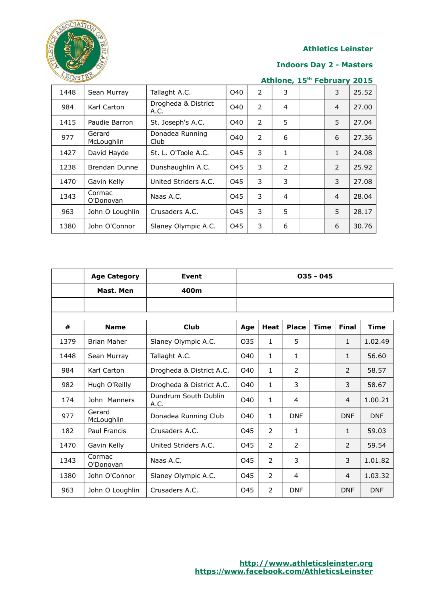

#### **Indoors Day 2 - Masters**

| EINSTE<br>Athlone, 15th February<br>2015 |                      |                             |     |                |   |  |                |       |
|------------------------------------------|----------------------|-----------------------------|-----|----------------|---|--|----------------|-------|
| 1448                                     | Sean Murray          | Tallaght A.C.               | O40 | 2              | 3 |  | 3              | 25.52 |
| 984                                      | Karl Carton          | Drogheda & District<br>A.C. | O40 | 2              | 4 |  | 4              | 27.00 |
| 1415                                     | Paudie Barron        | St. Joseph's A.C.           | O40 | $\overline{2}$ | 5 |  | 5              | 27.04 |
| 977                                      | Gerard<br>McLoughlin | Donadea Running<br>Club     | O40 | $\overline{2}$ | 6 |  | 6              | 27.36 |
| 1427                                     | David Hayde          | St. L. O'Toole A.C.         | 045 | 3              | 1 |  | 1              | 24.08 |
| 1238                                     | Brendan Dunne        | Dunshaughlin A.C.           | 045 | 3              | 2 |  | $\overline{2}$ | 25.92 |
| 1470                                     | Gavin Kelly          | United Striders A.C.        | 045 | 3              | 3 |  | 3              | 27.08 |
| 1343                                     | Cormac<br>O'Donovan  | Naas A.C.                   | 045 | 3              | 4 |  | 4              | 28.04 |
| 963                                      | John O Loughlin      | Crusaders A.C.              | 045 | 3              | 5 |  | 5              | 28.17 |
| 1380                                     | John O'Connor        | Slaney Olympic A.C.         | 045 | 3              | 6 |  | 6              | 30.76 |

|      | <b>Age Category</b>  | <b>Event</b>                 | $035 - 045$ |                |              |             |                |             |
|------|----------------------|------------------------------|-------------|----------------|--------------|-------------|----------------|-------------|
|      | Mast. Men            | 400m                         |             |                |              |             |                |             |
|      |                      |                              |             |                |              |             |                |             |
| #    | <b>Name</b>          | <b>Club</b>                  | Age         | <b>Heat</b>    | <b>Place</b> | <b>Time</b> | <b>Final</b>   | <b>Time</b> |
| 1379 | <b>Brian Maher</b>   | Slaney Olympic A.C.          | 035         | $\mathbf{1}$   | 5            |             | 1              | 1.02.49     |
| 1448 | Sean Murray          | Tallaght A.C.                | O40         | $\mathbf{1}$   | $\mathbf{1}$ |             | $\mathbf{1}$   | 56.60       |
| 984  | Karl Carton          | Drogheda & District A.C.     | O40         | $\mathbf{1}$   | 2            |             | 2              | 58.57       |
| 982  | Hugh O'Reilly        | Drogheda & District A.C.     | O40         | $\mathbf{1}$   | 3            |             | 3              | 58.67       |
| 174  | John Manners         | Dundrum South Dublin<br>A.C. | O40         | $\mathbf{1}$   | 4            |             | $\overline{4}$ | 1.00.21     |
| 977  | Gerard<br>McLoughlin | Donadea Running Club         | O40         | $\mathbf{1}$   | <b>DNF</b>   |             | <b>DNF</b>     | <b>DNF</b>  |
| 182  | Paul Francis         | Crusaders A.C.               | 045         | 2              | $\mathbf{1}$ |             | 1              | 59.03       |
| 1470 | Gavin Kelly          | United Striders A.C.         | O45         | $\overline{2}$ | 2            |             | 2              | 59.54       |
| 1343 | Cormac<br>O'Donovan  | Naas A.C.                    | 045         | $\overline{2}$ | 3            |             | 3              | 1.01.82     |
| 1380 | John O'Connor        | Slaney Olympic A.C.          | O45         | $\overline{2}$ | 4            |             | $\overline{4}$ | 1.03.32     |
| 963  | John O Loughlin      | Crusaders A.C.               | 045         | $\overline{2}$ | <b>DNF</b>   |             | <b>DNF</b>     | <b>DNF</b>  |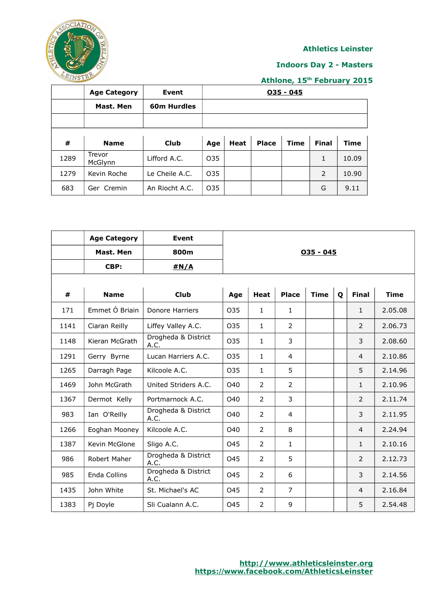

#### **Indoors Day 2 - Masters**

|      | <b>Age Category</b> | Event          | $035 - 045$ |      |              |             |              |             |  |
|------|---------------------|----------------|-------------|------|--------------|-------------|--------------|-------------|--|
|      | Mast. Men           | 60m Hurdles    |             |      |              |             |              |             |  |
|      |                     |                |             |      |              |             |              |             |  |
|      |                     |                |             |      |              |             |              |             |  |
| #    | <b>Name</b>         | Club           | Age         | Heat | <b>Place</b> | <b>Time</b> | <b>Final</b> | <b>Time</b> |  |
| 1289 | Trevor<br>McGlynn   | Lifford A.C.   | O35         |      |              |             | 1            | 10.09       |  |
| 1279 | Kevin Roche         | Le Cheile A.C. | O35         |      |              |             | 2            | 10.90       |  |
| 683  | Ger Cremin          | An Riocht A.C. | O35         |      |              |             | G            | 9.11        |  |

|      | <b>Age Category</b> | <b>Event</b>                |     |                |                |             |   |                |             |
|------|---------------------|-----------------------------|-----|----------------|----------------|-------------|---|----------------|-------------|
|      | Mast. Men           | 800m                        |     |                |                | $035 - 045$ |   |                |             |
|      | CBP:                | #N/A                        |     |                |                |             |   |                |             |
|      |                     |                             |     |                |                |             |   |                |             |
| #    | <b>Name</b>         | <b>Club</b>                 | Age | <b>Heat</b>    | <b>Place</b>   | <b>Time</b> | Q | <b>Final</b>   | <b>Time</b> |
| 171  | Emmet Ó Briain      | Donore Harriers             | 035 | $\mathbf{1}$   | $\mathbf{1}$   |             |   | $\mathbf{1}$   | 2.05.08     |
| 1141 | Ciaran Reilly       | Liffey Valley A.C.          | 035 | $\mathbf{1}$   | $\overline{2}$ |             |   | $\overline{2}$ | 2.06.73     |
| 1148 | Kieran McGrath      | Drogheda & District<br>A.C. | 035 | $\mathbf{1}$   | 3              |             |   | 3              | 2.08.60     |
| 1291 | Gerry Byrne         | Lucan Harriers A.C.         | O35 | $\mathbf{1}$   | $\overline{4}$ |             |   | $\overline{4}$ | 2.10.86     |
| 1265 | Darragh Page        | Kilcoole A.C.               | 035 | $\mathbf{1}$   | 5              |             |   | 5              | 2.14.96     |
| 1469 | John McGrath        | United Striders A.C.        | O40 | $\overline{2}$ | $\overline{2}$ |             |   | $\mathbf{1}$   | 2.10.96     |
| 1367 | Dermot Kelly        | Portmarnock A.C.            | O40 | $\overline{2}$ | 3              |             |   | 2              | 2.11.74     |
| 983  | Ian O'Reilly        | Drogheda & District<br>A.C. | O40 | $\overline{2}$ | $\overline{4}$ |             |   | 3              | 2.11.95     |
| 1266 | Eoghan Mooney       | Kilcoole A.C.               | O40 | 2              | 8              |             |   | $\overline{4}$ | 2.24.94     |
| 1387 | Kevin McGlone       | Sligo A.C.                  | O45 | $\overline{2}$ | $\mathbf{1}$   |             |   | $\mathbf{1}$   | 2.10.16     |
| 986  | Robert Maher        | Drogheda & District<br>A.C. | 045 | $\overline{2}$ | 5              |             |   | 2              | 2.12.73     |
| 985  | Enda Collins        | Drogheda & District<br>A.C. | 045 | $\overline{2}$ | 6              |             |   | 3              | 2.14.56     |
| 1435 | John White          | St. Michael's AC            | O45 | $\overline{2}$ | $\overline{7}$ |             |   | $\overline{4}$ | 2.16.84     |
| 1383 | Pj Doyle            | Sli Cualann A.C.            | 045 | $\overline{2}$ | 9              |             |   | 5              | 2.54.48     |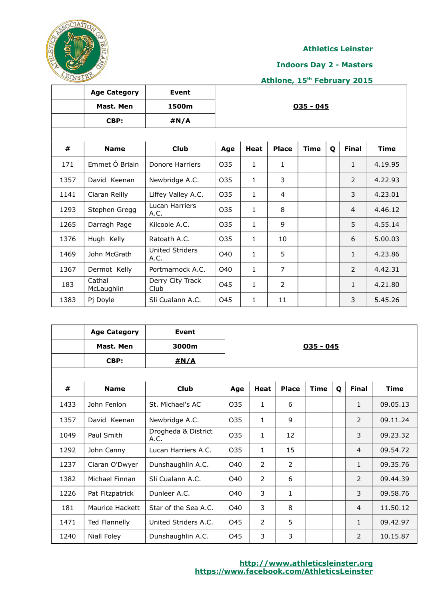

#### **Indoors Day 2 - Masters**

|      | <b>Age Category</b>  | <b>Event</b>                   |             |              |                |             |              |                |         |  |  |
|------|----------------------|--------------------------------|-------------|--------------|----------------|-------------|--------------|----------------|---------|--|--|
|      | Mast. Men            | 1500m                          | $035 - 045$ |              |                |             |              |                |         |  |  |
|      | CBP:                 | #N/A                           |             |              |                |             |              |                |         |  |  |
|      |                      |                                |             |              |                |             |              |                |         |  |  |
| #    | <b>Name</b>          | <b>Club</b>                    | Age         | Heat         | <b>Place</b>   | <b>Time</b> | $\mathbf{o}$ | <b>Final</b>   | Time    |  |  |
| 171  | Emmet Ó Briain       | Donore Harriers                | 035         | 1            | 1              |             |              | $\mathbf{1}$   | 4.19.95 |  |  |
| 1357 | David Keenan         | Newbridge A.C.                 | 035         | 1            | 3              |             |              | $\overline{2}$ | 4.22.93 |  |  |
| 1141 | Ciaran Reilly        | Liffey Valley A.C.             | 035         | 1            | 4              |             |              | 3              | 4.23.01 |  |  |
| 1293 | Stephen Gregg        | Lucan Harriers<br>A.C.         | 035         | 1            | 8              |             |              | $\overline{4}$ | 4.46.12 |  |  |
| 1265 | Darragh Page         | Kilcoole A.C.                  | 035         | $\mathbf{1}$ | 9              |             |              | 5              | 4.55.14 |  |  |
| 1376 | Hugh Kelly           | Ratoath A.C.                   | 035         | 1            | 10             |             |              | 6              | 5.00.03 |  |  |
| 1469 | John McGrath         | <b>United Striders</b><br>A.C. | O40         | 1            | 5              |             |              | $\mathbf{1}$   | 4.23.86 |  |  |
| 1367 | Dermot Kelly         | Portmarnock A.C.               | O40         | $\mathbf{1}$ | $\overline{7}$ |             |              | $\overline{2}$ | 4.42.31 |  |  |
| 183  | Cathal<br>McLaughlin | Derry City Track<br>Club       | 045         | 1            | 2              |             |              | $\mathbf{1}$   | 4.21.80 |  |  |
| 1383 | Pj Doyle             | Sli Cualann A.C.               | O45         | 1            | 11             |             |              | 3              | 5.45.26 |  |  |

|      | <b>Age Category</b><br>Mast. Men<br>CBP: | Event<br>3000m<br>#N/A      | $035 - 045$     |                |                |             |   |                |             |  |  |
|------|------------------------------------------|-----------------------------|-----------------|----------------|----------------|-------------|---|----------------|-------------|--|--|
| #    | <b>Name</b>                              | <b>Club</b>                 | Age             | <b>Heat</b>    | <b>Place</b>   | <b>Time</b> | Q | <b>Final</b>   | <b>Time</b> |  |  |
| 1433 | John Fenlon                              | St. Michael's AC            | 035             | $\mathbf{1}$   | 6              |             |   | $\mathbf{1}$   | 09.05.13    |  |  |
| 1357 | David Keenan                             | Newbridge A.C.              | O <sub>35</sub> | $\mathbf{1}$   | 9              |             |   | $\mathcal{P}$  | 09.11.24    |  |  |
| 1049 | Paul Smith                               | Drogheda & District<br>A.C. | 035             | 1              | 12             |             |   | 3              | 09.23.32    |  |  |
| 1292 | John Canny                               | Lucan Harriers A.C.         | 035             | $\mathbf{1}$   | 15             |             |   | $\overline{4}$ | 09.54.72    |  |  |
| 1237 | Ciaran O'Dwyer                           | Dunshaughlin A.C.           | O40             | $\overline{2}$ | $\overline{2}$ |             |   | $\mathbf{1}$   | 09.35.76    |  |  |
| 1382 | Michael Finnan                           | Sli Cualann A.C.            | O40             | $\overline{2}$ | 6              |             |   | 2              | 09.44.39    |  |  |
| 1226 | Pat Fitzpatrick                          | Dunleer A.C.                | O40             | 3              | $\mathbf{1}$   |             |   | 3              | 09.58.76    |  |  |
| 181  | Maurice Hackett                          | Star of the Sea A.C.        | O40             | 3              | 8              |             |   | $\overline{4}$ | 11.50.12    |  |  |
| 1471 | <b>Ted Flannelly</b>                     | United Striders A.C.        | 045             | $\overline{2}$ | 5              |             |   | $\mathbf{1}$   | 09.42.97    |  |  |
| 1240 | Niall Foley                              | Dunshaughlin A.C.           | O <sub>45</sub> | 3              | 3              |             |   | $\overline{2}$ | 10.15.87    |  |  |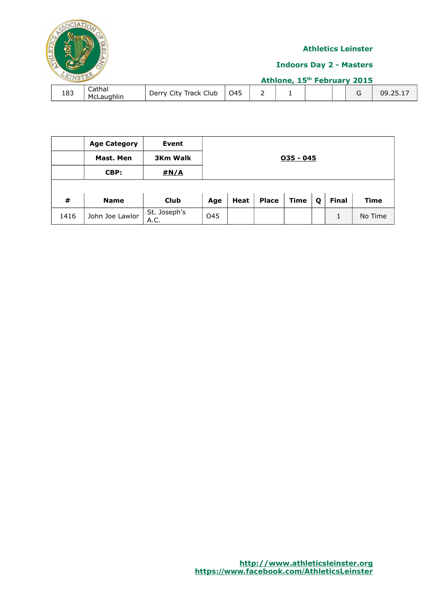

|      | <b>Age Category</b> | <b>Event</b>         |             |      |              |             |   |              |             |  |  |  |
|------|---------------------|----------------------|-------------|------|--------------|-------------|---|--------------|-------------|--|--|--|
|      | Mast. Men           | <b>3Km Walk</b>      | $035 - 045$ |      |              |             |   |              |             |  |  |  |
|      | CBP:                | #N/A                 |             |      |              |             |   |              |             |  |  |  |
|      |                     |                      |             |      |              |             |   |              |             |  |  |  |
| #    | <b>Name</b>         | <b>Club</b>          | Age         | Heat | <b>Place</b> | <b>Time</b> | Q | <b>Final</b> | <b>Time</b> |  |  |  |
| 1416 | John Joe Lawlor     | St. Joseph's<br>A.C. | O45         |      |              |             |   |              | No Time     |  |  |  |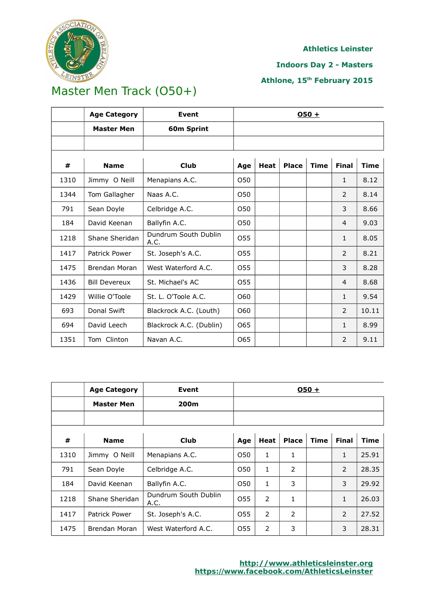

#### **Indoors Day 2 - Masters**

### **Athlone, 15th February 2015**

# Master Men Track (O50+)

|      | <b>Age Category</b>  | Event                        | $050 +$ |             |              |             |                |             |
|------|----------------------|------------------------------|---------|-------------|--------------|-------------|----------------|-------------|
|      | <b>Master Men</b>    | 60m Sprint                   |         |             |              |             |                |             |
|      |                      |                              |         |             |              |             |                |             |
| #    | <b>Name</b>          | <b>Club</b>                  | Age     | <b>Heat</b> | <b>Place</b> | <b>Time</b> | <b>Final</b>   | <b>Time</b> |
| 1310 | Jimmy O Neill        | Menapians A.C.               | O50     |             |              |             | $\mathbf{1}$   | 8.12        |
| 1344 | Tom Gallagher        | Naas A.C.                    | O50     |             |              |             | $\overline{2}$ | 8.14        |
| 791  | Sean Doyle           | Celbridge A.C.               | 050     |             |              |             | 3              | 8.66        |
| 184  | David Keenan         | Ballyfin A.C.                | O50     |             |              |             | $\overline{4}$ | 9.03        |
| 1218 | Shane Sheridan       | Dundrum South Dublin<br>A.C. | 055     |             |              |             | $\mathbf{1}$   | 8.05        |
| 1417 | Patrick Power        | St. Joseph's A.C.            | 055     |             |              |             | 2              | 8.21        |
| 1475 | Brendan Moran        | West Waterford A.C.          | 055     |             |              |             | 3              | 8.28        |
| 1436 | <b>Bill Devereux</b> | St. Michael's AC             | 055     |             |              |             | 4              | 8.68        |
| 1429 | Willie O'Toole       | St. L. O'Toole A.C.          | O60     |             |              |             | $\mathbf{1}$   | 9.54        |
| 693  | Donal Swift          | Blackrock A.C. (Louth)       | O60     |             |              |             | $\overline{2}$ | 10.11       |
| 694  | David Leech          | Blackrock A.C. (Dublin)      | 065     |             |              |             | $\mathbf{1}$   | 8.99        |
| 1351 | Tom Clinton          | Navan A.C.                   | 065     |             |              |             | $\overline{2}$ | 9.11        |

|      | <b>Age Category</b> | Event                        | $050 +$         |                |               |             |                |       |  |
|------|---------------------|------------------------------|-----------------|----------------|---------------|-------------|----------------|-------|--|
|      | <b>Master Men</b>   | 200m                         |                 |                |               |             |                |       |  |
|      |                     |                              |                 |                |               |             |                |       |  |
| #    | <b>Name</b>         | <b>Club</b>                  | Age             | Heat           | <b>Place</b>  | <b>Time</b> | <b>Final</b>   | Time  |  |
| 1310 | Jimmy O Neill       | Menapians A.C.               | O <sub>50</sub> | 1              | 1             |             | 1              | 25.91 |  |
| 791  | Sean Doyle          | Celbridge A.C.               | O <sub>50</sub> | 1              | 2             |             | $\overline{2}$ | 28.35 |  |
| 184  | David Keenan        | Ballyfin A.C.                | O <sub>50</sub> | 1              | 3             |             | 3              | 29.92 |  |
| 1218 | Shane Sheridan      | Dundrum South Dublin<br>A.C. | O <sub>55</sub> | $\overline{2}$ | 1             |             | 1              | 26.03 |  |
| 1417 | Patrick Power       | St. Joseph's A.C.            | 055             | 2              | $\mathcal{P}$ |             | $\overline{2}$ | 27.52 |  |
| 1475 | Brendan Moran       | West Waterford A.C.          | O <sub>55</sub> | $\overline{2}$ | 3             |             | 3              | 28.31 |  |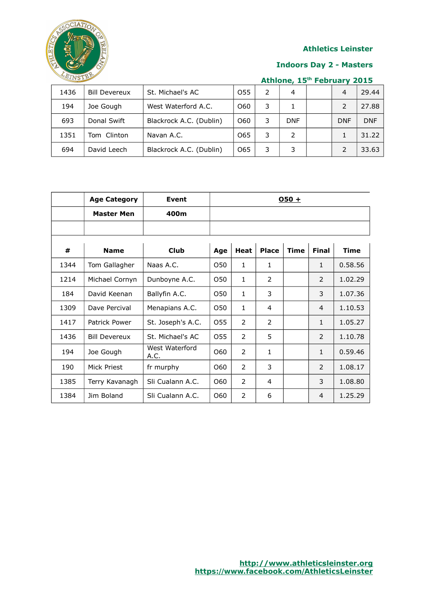

#### **Indoors Day 2 - Masters**

| 1436 | <b>Bill Devereux</b> | St. Michael's AC        | O <sub>55</sub> |   | 4          | $\overline{4}$ | 29.44      |
|------|----------------------|-------------------------|-----------------|---|------------|----------------|------------|
| 194  | Joe Gough            | West Waterford A.C.     | O60             | 3 |            |                | 27.88      |
| 693  | Donal Swift          | Blackrock A.C. (Dublin) | O60             | 3 | <b>DNF</b> | <b>DNF</b>     | <b>DNF</b> |
| 1351 | Tom Clinton          | Navan A.C.              | O65             | 3 | 2          |                | 31.22      |
| 694  | David Leech          | Blackrock A.C. (Dublin) | 065             | 3 | 3          |                | 33.63      |

|      | <b>Age Category</b>  | <b>Event</b>           | $050 +$ |                |               |             |                |         |  |
|------|----------------------|------------------------|---------|----------------|---------------|-------------|----------------|---------|--|
|      | <b>Master Men</b>    | 400m                   |         |                |               |             |                |         |  |
|      |                      |                        |         |                |               |             |                |         |  |
|      |                      |                        |         |                |               |             |                |         |  |
| #    | <b>Name</b>          | <b>Club</b>            | Age     | <b>Heat</b>    | <b>Place</b>  | <b>Time</b> | <b>Final</b>   | Time    |  |
| 1344 | Tom Gallagher        | Naas A.C.              | O50     | $\mathbf{1}$   | 1.            |             | $\mathbf{1}$   | 0.58.56 |  |
| 1214 | Michael Cornyn       | Dunboyne A.C.          | O50     | $\mathbf{1}$   | $\mathcal{P}$ |             | $\overline{2}$ | 1.02.29 |  |
| 184  | David Keenan         | Ballyfin A.C.          | O50     | $\mathbf{1}$   | 3             |             | 3              | 1.07.36 |  |
| 1309 | Dave Percival        | Menapians A.C.         | O50     | $\mathbf{1}$   | 4             |             | $\overline{4}$ | 1.10.53 |  |
| 1417 | Patrick Power        | St. Joseph's A.C.      | 055     | $\overline{2}$ | $\mathcal{P}$ |             | $\mathbf{1}$   | 1.05.27 |  |
| 1436 | <b>Bill Devereux</b> | St. Michael's AC       | 055     | $\overline{2}$ | 5             |             | $\overline{2}$ | 1.10.78 |  |
| 194  | Joe Gough            | West Waterford<br>A.C. | O60     | $\overline{2}$ | 1             |             | $\mathbf{1}$   | 0.59.46 |  |
| 190  | Mick Priest          | fr murphy              | O60     | $\overline{2}$ | 3             |             | $\overline{2}$ | 1.08.17 |  |
| 1385 | Terry Kavanagh       | Sli Cualann A.C.       | O60     | $\mathcal{P}$  | 4             |             | 3              | 1.08.80 |  |
| 1384 | Jim Boland           | Sli Cualann A.C.       | O60     | $\overline{2}$ | 6             |             | $\overline{4}$ | 1.25.29 |  |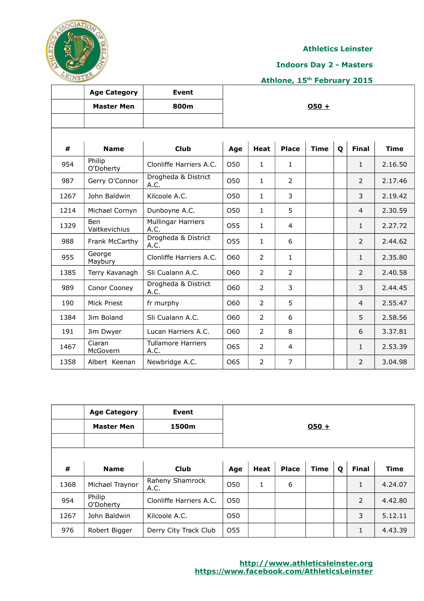

ℸ

#### **Athletics Leinster**

 $\overline{\mathsf{I}}$ 

#### **Indoors Day 2 - Masters**

## **Athlone, 15th February 2015**

|      | <b>Age Category</b>         | <b>Event</b>                      |     |                |                |             |   |                |             |
|------|-----------------------------|-----------------------------------|-----|----------------|----------------|-------------|---|----------------|-------------|
|      | <b>Master Men</b>           | 800m                              |     |                |                | $050 +$     |   |                |             |
|      |                             |                                   |     |                |                |             |   |                |             |
| #    | <b>Name</b>                 | <b>Club</b>                       | Age | <b>Heat</b>    | <b>Place</b>   | <b>Time</b> | Q | <b>Final</b>   | <b>Time</b> |
| 954  | Philip<br>O'Doherty         | Clonliffe Harriers A.C.           | O50 | $\mathbf{1}$   | $\mathbf{1}$   |             |   | $\mathbf{1}$   | 2.16.50     |
| 987  | Gerry O'Connor              | Drogheda & District<br>A.C.       | O50 | $\mathbf{1}$   | $\overline{2}$ |             |   | $\overline{2}$ | 2.17.46     |
| 1267 | John Baldwin                | Kilcoole A.C.                     | O50 | $\mathbf{1}$   | 3              |             |   | 3              | 2.19.42     |
| 1214 | Michael Cornyn              | Dunboyne A.C.                     | O50 | $\mathbf{1}$   | 5              |             |   | $\overline{4}$ | 2.30.59     |
| 1329 | <b>Ben</b><br>Vaitkevichius | <b>Mullingar Harriers</b><br>A.C. | O55 | $\mathbf{1}$   | $\overline{4}$ |             |   | $\mathbf{1}$   | 2.27.72     |
| 988  | Frank McCarthy              | Drogheda & District<br>A.C.       | 055 | $\mathbf{1}$   | 6              |             |   | $\mathcal{P}$  | 2.44.62     |
| 955  | George<br>Maybury           | Clonliffe Harriers A.C.           | O60 | $\overline{2}$ | $\mathbf{1}$   |             |   | $\mathbf{1}$   | 2.35.80     |
| 1385 | Terry Kavanagh              | Sli Cualann A.C.                  | O60 | $\overline{2}$ | $\overline{2}$ |             |   | $\overline{2}$ | 2.40.58     |
| 989  | Conor Cooney                | Drogheda & District<br>A.C.       | O60 | $\overline{2}$ | 3              |             |   | 3              | 2.44.45     |
| 190  | <b>Mick Priest</b>          | fr murphy                         | O60 | $\overline{2}$ | 5              |             |   | $\overline{4}$ | 2.55.47     |
| 1384 | Jim Boland                  | Sli Cualann A.C.                  | O60 | $\overline{2}$ | 6              |             |   | 5              | 2.58.56     |
| 191  | Jim Dwyer                   | Lucan Harriers A.C.               | O60 | $\overline{2}$ | 8              |             |   | 6              | 3.37.81     |
| 1467 | Ciaran<br>McGovern          | <b>Tullamore Harriers</b><br>A.C. | 065 | $\overline{2}$ | 4              |             |   | $\mathbf{1}$   | 2.53.39     |
| 1358 | Albert Keenan               | Newbridge A.C.                    | 065 | $\overline{2}$ | $\overline{7}$ |             |   | $\overline{2}$ | 3.04.98     |

 $\top$ 

|      | <b>Age Category</b><br><b>Master Men</b> | Event<br>1500m          | $O50 +$ |      |              |             |   |              |             |
|------|------------------------------------------|-------------------------|---------|------|--------------|-------------|---|--------------|-------------|
| #    | <b>Name</b>                              | <b>Club</b>             | Age     | Heat | <b>Place</b> | <b>Time</b> | Q | <b>Final</b> | <b>Time</b> |
| 1368 | Michael Traynor                          | Raheny Shamrock<br>A.C. | O50     | 1    | 6            |             |   | $\mathbf{1}$ | 4.24.07     |
| 954  | Philip<br>O'Doherty                      | Clonliffe Harriers A.C. | O50     |      |              |             |   | 2            | 4.42.80     |
| 1267 | John Baldwin                             | Kilcoole A.C.           | O50     |      |              |             |   | 3            | 5.12.11     |
| 976  | Robert Bigger                            | Derry City Track Club   | O55     |      |              |             |   | $\mathbf{1}$ | 4.43.39     |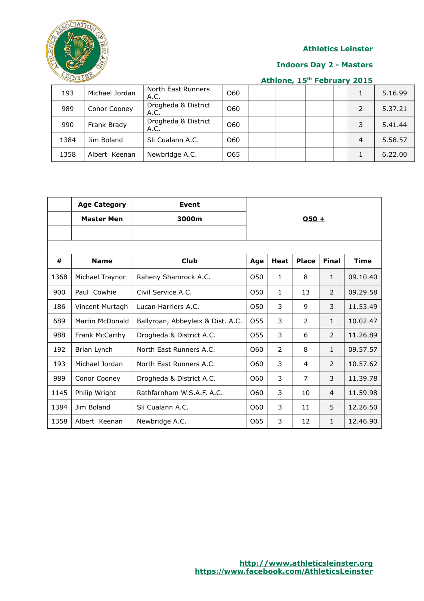

#### **Indoors Day 2 - Masters**

| 193  | Michael Jordan | North East Runners<br>A.C.  | 060 |  |  |   | 5.16.99 |
|------|----------------|-----------------------------|-----|--|--|---|---------|
| 989  | Conor Cooney   | Drogheda & District<br>A.C. | 060 |  |  |   | 5.37.21 |
| 990  | Frank Brady    | Drogheda & District<br>A.C. | 060 |  |  | 3 | 5.41.44 |
| 1384 | Jim Boland     | Sli Cualann A.C.            | 060 |  |  | 4 | 5.58.57 |
| 1358 | Albert Keenan  | Newbridge A.C.              | 065 |  |  |   | 6.22.00 |

|      | <b>Age Category</b> | <b>Event</b>                      |                 |              |                |              |             |
|------|---------------------|-----------------------------------|-----------------|--------------|----------------|--------------|-------------|
|      | <b>Master Men</b>   | 3000m                             | $050 +$         |              |                |              |             |
|      |                     |                                   |                 |              |                |              |             |
|      |                     |                                   |                 |              |                |              |             |
| #    | <b>Name</b>         | <b>Club</b>                       | Age             | <b>Heat</b>  | <b>Place</b>   | <b>Final</b> | <b>Time</b> |
| 1368 | Michael Traynor     | Raheny Shamrock A.C.              | O <sub>50</sub> | $\mathbf{1}$ | 8              | $\mathbf{1}$ | 09.10.40    |
| 900  | Paul Cowhie         | Civil Service A.C.                | O <sub>50</sub> | $\mathbf{1}$ | 13             | 2            | 09.29.58    |
| 186  | Vincent Murtagh     | Lucan Harriers A.C.               | O50             | 3            | 9              | 3            | 11.53.49    |
| 689  | Martin McDonald     | Ballyroan, Abbeyleix & Dist. A.C. | O <sub>55</sub> | 3            | 2              | 1            | 10.02.47    |
| 988  | Frank McCarthy      | Drogheda & District A.C.          | O55             | 3            | 6              | 2            | 11.26.89    |
| 192  | Brian Lynch         | North East Runners A.C.           | O60             | 2            | 8              | $\mathbf{1}$ | 09.57.57    |
| 193  | Michael Jordan      | North East Runners A.C.           | O60             | 3            | 4              | 2            | 10.57.62    |
| 989  | Conor Cooney        | Drogheda & District A.C.          | O60             | 3            | $\overline{7}$ | 3            | 11.39.78    |
| 1145 | Philip Wright       | Rathfarnham W.S.A.F. A.C.         | O60             | 3            | 10             | 4            | 11.59.98    |
| 1384 | Jim Boland          | Sli Cualann A.C.                  | O60             | 3            | 11             | 5            | 12.26.50    |
| 1358 | Albert Keenan       | Newbridge A.C.                    | O <sub>65</sub> | 3            | 12             | $\mathbf{1}$ | 12.46.90    |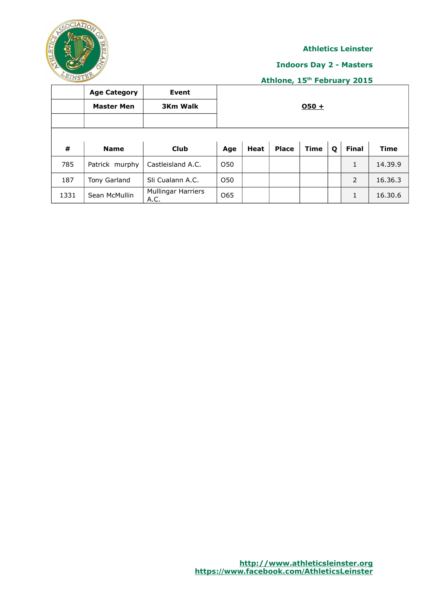

#### **Indoors Day 2 - Masters**

|      | <b>Age Category</b><br><b>Master Men</b> | Event<br><b>3Km Walk</b>          | $050 +$         |      |              |             |   |                           |             |  |
|------|------------------------------------------|-----------------------------------|-----------------|------|--------------|-------------|---|---------------------------|-------------|--|
| #    | <b>Name</b>                              | <b>Club</b>                       | Age             | Heat | <b>Place</b> | <b>Time</b> | Q | <b>Final</b>              | <b>Time</b> |  |
| 785  | Patrick murphy                           | Castleisland A.C.                 | O50             |      |              |             |   | 1                         | 14.39.9     |  |
| 187  | Tony Garland                             | Sli Cualann A.C.                  | O <sub>50</sub> |      |              |             |   | 2                         | 16.36.3     |  |
| 1331 | Sean McMullin                            | <b>Mullingar Harriers</b><br>A.C. | O65             |      |              |             |   | $\blacktriangleleft$<br>T | 16.30.6     |  |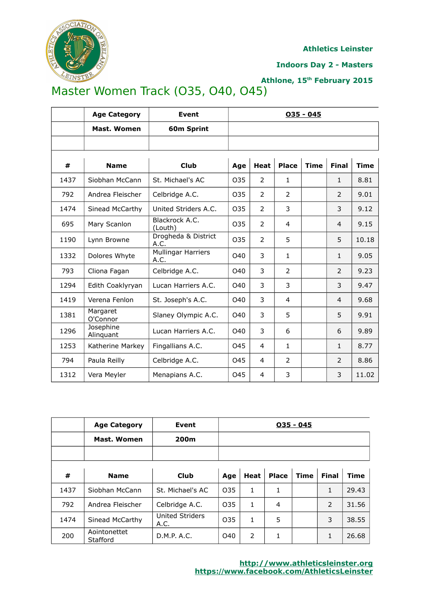

**Indoors Day 2 - Masters**

## **Athlone, 15th February 2015**

# Master Women Track (O35, O40, O45)

|      | <b>Age Category</b>    | <b>Event</b>                      | $035 - 045$     |                |                |             |                |             |  |  |  |
|------|------------------------|-----------------------------------|-----------------|----------------|----------------|-------------|----------------|-------------|--|--|--|
|      | <b>Mast. Women</b>     | 60m Sprint                        |                 |                |                |             |                |             |  |  |  |
|      |                        |                                   |                 |                |                |             |                |             |  |  |  |
| #    | <b>Name</b>            | <b>Club</b>                       | Age             | <b>Heat</b>    | <b>Place</b>   | <b>Time</b> | <b>Final</b>   | <b>Time</b> |  |  |  |
| 1437 | Siobhan McCann         | St. Michael's AC                  | O <sub>35</sub> | $\overline{2}$ | $\mathbf{1}$   |             | $\mathbf{1}$   | 8.81        |  |  |  |
| 792  | Andrea Fleischer       | Celbridge A.C.                    | 035             | $\overline{2}$ | $\overline{2}$ |             | 2              | 9.01        |  |  |  |
| 1474 | Sinead McCarthy        | United Striders A.C.              | O35             | $\overline{2}$ | 3              |             | 3              | 9.12        |  |  |  |
| 695  | Mary Scanlon           | Blackrock A.C.<br>(Louth)         | O <sub>35</sub> | $\overline{2}$ | $\overline{4}$ |             | 4              | 9.15        |  |  |  |
| 1190 | Lynn Browne            | Drogheda & District<br>A.C.       | 035             | $\overline{2}$ | 5              |             | 5              | 10.18       |  |  |  |
| 1332 | Dolores Whyte          | <b>Mullingar Harriers</b><br>A.C. | O40             | 3              | $\mathbf{1}$   |             | $\mathbf{1}$   | 9.05        |  |  |  |
| 793  | Cliona Fagan           | Celbridge A.C.                    | O40             | 3              | $\overline{2}$ |             | $\overline{2}$ | 9.23        |  |  |  |
| 1294 | Edith Coaklyryan       | Lucan Harriers A.C.               | O40             | 3              | 3              |             | 3              | 9.47        |  |  |  |
| 1419 | Verena Fenlon          | St. Joseph's A.C.                 | O40             | 3              | 4              |             | 4              | 9.68        |  |  |  |
| 1381 | Margaret<br>O'Connor   | Slaney Olympic A.C.               | O40             | 3              | 5              |             | 5              | 9.91        |  |  |  |
| 1296 | Josephine<br>Alinquant | Lucan Harriers A.C.               | O40             | 3              | 6              |             | 6              | 9.89        |  |  |  |
| 1253 | Katherine Markey       | Fingallians A.C.                  | 045             | 4              | $\mathbf{1}$   |             | $\mathbf{1}$   | 8.77        |  |  |  |
| 794  | Paula Reilly           | Celbridge A.C.                    | 045             | 4              | $\overline{2}$ |             | $\overline{2}$ | 8.86        |  |  |  |
| 1312 | Vera Meyler            | Menapians A.C.                    | 045             | 4              | 3              |             | 3              | 11.02       |  |  |  |

|      | <b>Age Category</b>      | Event                          | $035 - 045$     |      |              |      |              |       |
|------|--------------------------|--------------------------------|-----------------|------|--------------|------|--------------|-------|
|      | Mast. Women              | 200m                           |                 |      |              |      |              |       |
|      |                          |                                |                 |      |              |      |              |       |
|      |                          |                                |                 |      |              |      |              |       |
| #    | <b>Name</b>              | <b>Club</b>                    | Age             | Heat | <b>Place</b> | Time | <b>Final</b> | Time  |
| 1437 | Siobhan McCann           | St. Michael's AC               | O <sub>35</sub> | 1    | 1            |      | 1            | 29.43 |
| 792  | Andrea Fleischer         | Celbridge A.C.                 | O35             | 1    | 4            |      | 2            | 31.56 |
| 1474 | Sinead McCarthy          | <b>United Striders</b><br>A.C. | O35             | 1    | 5            |      | 3            | 38.55 |
| 200  | Aointonettet<br>Stafford | D.M.P. A.C.                    | O40             | 2    | 1            |      | 1            | 26.68 |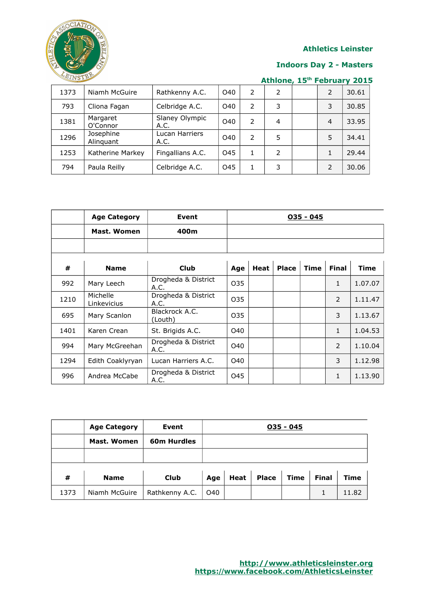

#### **Indoors Day 2 - Masters**

| 1373 | Niamh McGuire          | Rathkenny A.C.         | O40 | 2 | 2 | $\mathcal{P}$  | 30.61 |
|------|------------------------|------------------------|-----|---|---|----------------|-------|
| 793  | Cliona Fagan           | Celbridge A.C.         | O40 | 2 | 3 | 3              | 30.85 |
| 1381 | Margaret<br>O'Connor   | Slaney Olympic<br>A.C. | O40 | 2 | 4 | $\overline{4}$ | 33.95 |
| 1296 | Josephine<br>Alinguant | Lucan Harriers<br>A.C. | O40 | 2 | 5 |                | 34.41 |
| 1253 | Katherine Markey       | Fingallians A.C.       | 045 |   | 2 |                | 29.44 |
| 794  | Paula Reilly           | Celbridge A.C.         | 045 |   | 3 |                | 30.06 |

|      | <b>Age Category</b>     | Event                       | $035 - 045$ |             |              |             |                |             |  |
|------|-------------------------|-----------------------------|-------------|-------------|--------------|-------------|----------------|-------------|--|
|      | Mast. Women             | 400m                        |             |             |              |             |                |             |  |
|      |                         |                             |             |             |              |             |                |             |  |
|      |                         |                             |             |             |              |             |                |             |  |
| #    | <b>Name</b>             | <b>Club</b>                 | Age         | <b>Heat</b> | <b>Place</b> | <b>Time</b> | <b>Final</b>   | <b>Time</b> |  |
| 992  | Mary Leech              | Drogheda & District<br>A.C. | 035         |             |              |             | 1              | 1.07.07     |  |
| 1210 | Michelle<br>Linkevicius | Drogheda & District<br>A.C. | 035         |             |              |             | $\overline{2}$ | 1.11.47     |  |
| 695  | Mary Scanlon            | Blackrock A.C.<br>(Louth)   | 035         |             |              |             | 3              | 1.13.67     |  |
| 1401 | Karen Crean             | St. Brigids A.C.            | O40         |             |              |             | $\mathbf{1}$   | 1.04.53     |  |
| 994  | Mary McGreehan          | Drogheda & District<br>A.C. | O40         |             |              |             | $\overline{2}$ | 1.10.04     |  |
| 1294 | Edith Coaklyryan        | Lucan Harriers A.C.         | O40         |             |              |             | 3              | 1.12.98     |  |
| 996  | Andrea McCabe           | Drogheda & District<br>A.C. | 045         |             |              |             | 1              | 1.13.90     |  |

|      | <b>Age Category</b> | Event              | $035 - 045$ |      |              |             |              |             |  |
|------|---------------------|--------------------|-------------|------|--------------|-------------|--------------|-------------|--|
|      | Mast. Women         | <b>60m Hurdles</b> |             |      |              |             |              |             |  |
|      |                     |                    |             |      |              |             |              |             |  |
| #    | <b>Name</b>         | <b>Club</b>        | Age         | Heat | <b>Place</b> | <b>Time</b> | <b>Final</b> | <b>Time</b> |  |
| 1373 | Niamh McGuire       | Rathkenny A.C.     | O40         |      |              |             |              | 11.82       |  |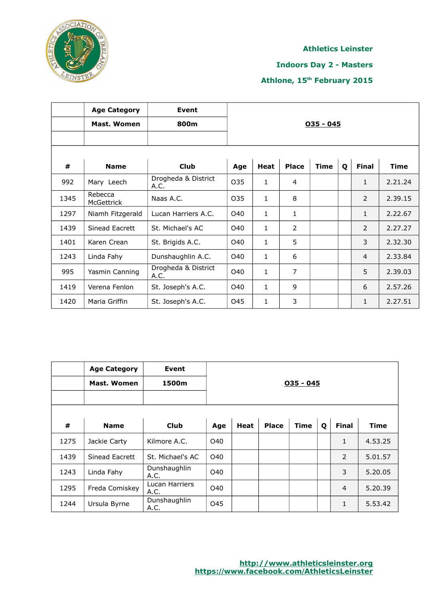

#### **Indoors Day 2 - Masters**

|      | <b>Age Category</b>   | Event                       |             |              |                |             |   |                |             |  |  |
|------|-----------------------|-----------------------------|-------------|--------------|----------------|-------------|---|----------------|-------------|--|--|
|      | <b>Mast. Women</b>    | 800m                        | $035 - 045$ |              |                |             |   |                |             |  |  |
|      |                       |                             |             |              |                |             |   |                |             |  |  |
|      |                       |                             |             |              |                |             |   |                |             |  |  |
| #    | <b>Name</b>           | <b>Club</b>                 | Age         | <b>Heat</b>  | <b>Place</b>   | <b>Time</b> | Q | <b>Final</b>   | <b>Time</b> |  |  |
| 992  | Mary Leech            | Drogheda & District<br>A.C. | 035         | $\mathbf{1}$ | $\overline{4}$ |             |   | 1              | 2.21.24     |  |  |
| 1345 | Rebecca<br>McGettrick | Naas A.C.                   | 035         | $\mathbf{1}$ | 8              |             |   | $\overline{2}$ | 2.39.15     |  |  |
| 1297 | Niamh Fitzgerald      | Lucan Harriers A.C.         | O40         | $\mathbf{1}$ | 1              |             |   | 1              | 2.22.67     |  |  |
| 1439 | Sinead Eacrett        | St. Michael's AC            | O40         | $\mathbf{1}$ | 2              |             |   | $\overline{2}$ | 2.27.27     |  |  |
| 1401 | Karen Crean           | St. Brigids A.C.            | O40         | $\mathbf{1}$ | 5              |             |   | 3              | 2.32.30     |  |  |
| 1243 | Linda Fahy            | Dunshaughlin A.C.           | O40         | $\mathbf{1}$ | 6              |             |   | $\overline{4}$ | 2.33.84     |  |  |
| 995  | Yasmin Canning        | Drogheda & District<br>A.C. | O40         | $\mathbf{1}$ | $\overline{7}$ |             |   | 5              | 2.39.03     |  |  |
| 1419 | Verena Fenlon         | St. Joseph's A.C.           | O40         | $\mathbf{1}$ | 9              |             |   | 6              | 2.57.26     |  |  |
| 1420 | Maria Griffin         | St. Joseph's A.C.           | 045         | $\mathbf{1}$ | 3              |             |   | 1              | 2.27.51     |  |  |

|      | <b>Age Category</b><br>Mast. Women | Event<br>1500m         | $035 - 045$ |      |              |             |             |                |             |
|------|------------------------------------|------------------------|-------------|------|--------------|-------------|-------------|----------------|-------------|
| #    | <b>Name</b>                        | <b>Club</b>            | Age         | Heat | <b>Place</b> | <b>Time</b> | $\mathbf 0$ | <b>Final</b>   | <b>Time</b> |
| 1275 | Jackie Carty                       | Kilmore A.C.           | O40         |      |              |             |             | 1              | 4.53.25     |
| 1439 | Sinead Eacrett                     | St. Michael's AC       | O40         |      |              |             |             | 2              | 5.01.57     |
| 1243 | Linda Fahy                         | Dunshaughlin<br>A.C.   | O40         |      |              |             |             | 3              | 5.20.05     |
| 1295 | Freda Comiskey                     | Lucan Harriers<br>A.C. | O40         |      |              |             |             | $\overline{4}$ | 5.20.39     |
| 1244 | Ursula Byrne                       | Dunshaughlin<br>A.C.   | O45         |      |              |             |             | 1              | 5.53.42     |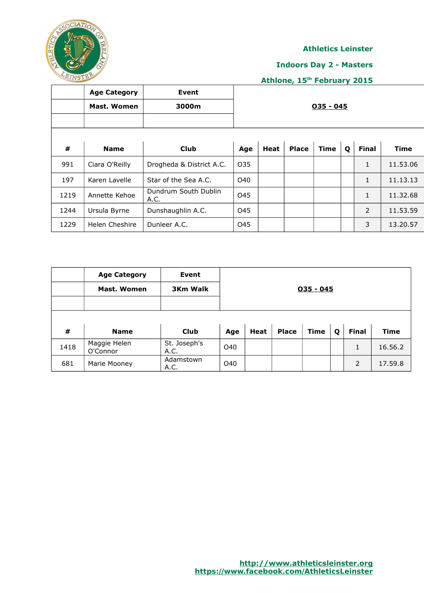

#### **Indoors Day 2 - Masters**

|      | <b>Age Category</b><br>Mast. Women | <b>Event</b><br>3000m        | $035 - 045$ |             |              |             |   |              |             |
|------|------------------------------------|------------------------------|-------------|-------------|--------------|-------------|---|--------------|-------------|
| #    | <b>Name</b>                        | <b>Club</b>                  | Age         | <b>Heat</b> | <b>Place</b> | <b>Time</b> | Q | <b>Final</b> | <b>Time</b> |
| 991  | Ciara O'Reilly                     | Drogheda & District A.C.     | 035         |             |              |             |   | $\mathbf{1}$ | 11.53.06    |
| 197  | Karen Lavelle                      | Star of the Sea A.C.         | <b>O40</b>  |             |              |             |   | 1            | 11.13.13    |
| 1219 | Annette Kehoe                      | Dundrum South Dublin<br>A.C. | 045         |             |              |             |   | $\mathbf{1}$ | 11.32.68    |
| 1244 | Ursula Byrne                       | Dunshaughlin A.C.            | O45         |             |              |             |   | 2            | 11.53.59    |
| 1229 | Helen Cheshire                     | Dunleer A.C.                 | O45         |             |              |             |   | 3            | 13.20.57    |

|      | <b>Age Category</b>      | Event                |             |      |              |             |   |              |             |
|------|--------------------------|----------------------|-------------|------|--------------|-------------|---|--------------|-------------|
|      | Mast. Women              | <b>3Km Walk</b>      | $035 - 045$ |      |              |             |   |              |             |
|      |                          |                      |             |      |              |             |   |              |             |
| #    | <b>Name</b>              | <b>Club</b>          | Age         | Heat | <b>Place</b> | <b>Time</b> | Q | <b>Final</b> | <b>Time</b> |
| 1418 | Maggie Helen<br>O'Connor | St. Joseph's<br>A.C. | O40         |      |              |             |   | 1            | 16.56.2     |
| 681  | Marie Mooney             | Adamstown<br>A.C.    | O40         |      |              |             |   | 2            | 17.59.8     |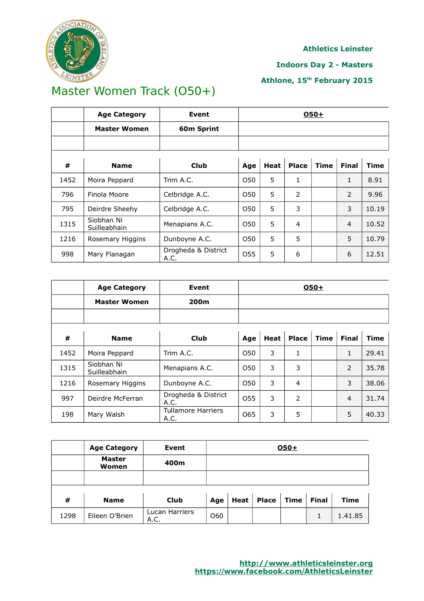

#### **Indoors Day 2 - Masters**

### **Athlone, 15th February 2015**

# Master Women Track (O50+)

|      | <b>Age Category</b>        | Event                       | $O50+$ |      |              |      |                |       |  |
|------|----------------------------|-----------------------------|--------|------|--------------|------|----------------|-------|--|
|      | <b>Master Women</b>        | 60m Sprint                  |        |      |              |      |                |       |  |
|      |                            |                             |        |      |              |      |                |       |  |
| #    | <b>Name</b>                | <b>Club</b>                 | Age    | Heat | <b>Place</b> | Time | <b>Final</b>   | Time  |  |
| 1452 | Moira Peppard              | Trim A.C.                   | 050    | 5    | 1            |      | 1              | 8.91  |  |
| 796  | Finola Moore               | Celbridge A.C.              | 050    | 5    | 2            |      | 2              | 9.96  |  |
| 795  | Deirdre Sheehy             | Celbridge A.C.              | 050    | 5    | 3            |      | 3              | 10.19 |  |
| 1315 | Siobhan Ni<br>Suilleabhain | Menapians A.C.              | O50    | 5    | 4            |      | $\overline{4}$ | 10.52 |  |
| 1216 | Rosemary Higgins           | Dunboyne A.C.               | O50    | 5    | 5            |      | 5              | 10.79 |  |
| 998  | Mary Flanagan              | Drogheda & District<br>A.C. | 055    | 5    | 6            |      | 6              | 12.51 |  |

|      | <b>Age Category</b>        | <b>Event</b>                      | $O50+$ |      |              |      |                |             |  |
|------|----------------------------|-----------------------------------|--------|------|--------------|------|----------------|-------------|--|
|      | <b>Master Women</b>        | 200m                              |        |      |              |      |                |             |  |
|      |                            |                                   |        |      |              |      |                |             |  |
| #    | <b>Name</b>                | <b>Club</b>                       | Age    | Heat | <b>Place</b> | Time | <b>Final</b>   | <b>Time</b> |  |
| 1452 | Moira Peppard              | Trim A.C.                         | O50    | 3    | 1            |      | $\mathbf{1}$   | 29.41       |  |
| 1315 | Siobhan Ni<br>Suilleabhain | Menapians A.C.                    | O50    | 3    | 3            |      | 2              | 35.78       |  |
| 1216 | Rosemary Higgins           | Dunboyne A.C.                     | O50    | 3    | 4            |      | 3              | 38.06       |  |
| 997  | Deirdre McFerran           | Drogheda & District<br>A.C.       | O55    | 3    | 2            |      | $\overline{4}$ | 31.74       |  |
| 198  | Mary Walsh                 | <b>Tullamore Harriers</b><br>A.C. | 065    | 3    | 5            |      | 5              | 40.33       |  |

|      | <b>Age Category</b>    | Event                  | $O50+$     |      |              |      |              |             |
|------|------------------------|------------------------|------------|------|--------------|------|--------------|-------------|
|      | <b>Master</b><br>Women | 400m                   |            |      |              |      |              |             |
|      |                        |                        |            |      |              |      |              |             |
| #    | <b>Name</b>            | <b>Club</b>            | Age        | Heat | <b>Place</b> | Time | <b>Final</b> | <b>Time</b> |
| 1298 | Eileen O'Brien         | Lucan Harriers<br>A.C. | <b>O60</b> |      |              |      |              | 1.41.85     |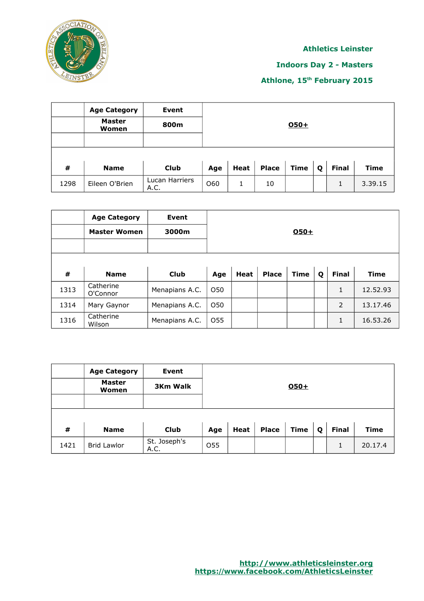

### **Indoors Day 2 - Masters**

|      | <b>Age Category</b>    | <b>Event</b>           |        |      |              |             |   |              |             |  |  |
|------|------------------------|------------------------|--------|------|--------------|-------------|---|--------------|-------------|--|--|
|      | <b>Master</b><br>Women | 800m                   | $050+$ |      |              |             |   |              |             |  |  |
|      |                        |                        |        |      |              |             |   |              |             |  |  |
| #    | <b>Name</b>            | <b>Club</b>            | Age    | Heat | <b>Place</b> | <b>Time</b> | Q | <b>Final</b> | <b>Time</b> |  |  |
| 1298 | Eileen O'Brien         | Lucan Harriers<br>A.C. | O60    | 1    | 10           |             |   | 1            | 3.39.15     |  |  |

|      | <b>Age Category</b><br><b>Master Women</b> | Event<br>3000m |     |      |              | O50+        |   |              |             |
|------|--------------------------------------------|----------------|-----|------|--------------|-------------|---|--------------|-------------|
| #    | <b>Name</b>                                | Club           | Age | Heat | <b>Place</b> | <b>Time</b> | Q | <b>Final</b> | <b>Time</b> |
| 1313 | Catherine<br>O'Connor                      | Menapians A.C. | O50 |      |              |             |   | 1            | 12.52.93    |
| 1314 | Mary Gaynor                                | Menapians A.C. | O50 |      |              |             |   | 2            | 13.17.46    |
| 1316 | Catherine<br>Wilson                        | Menapians A.C. | O55 |      |              |             |   | 1            | 16.53.26    |

|      | <b>Age Category</b>    | <b>Event</b>         |                 |      |              |             |   |              |         |
|------|------------------------|----------------------|-----------------|------|--------------|-------------|---|--------------|---------|
|      | <b>Master</b><br>Women | <b>3Km Walk</b>      | $050+$          |      |              |             |   |              |         |
|      |                        |                      |                 |      |              |             |   |              |         |
|      |                        |                      |                 |      |              |             |   |              |         |
| #    | <b>Name</b>            | <b>Club</b>          | Age             | Heat | <b>Place</b> | <b>Time</b> | Q | <b>Final</b> | Time    |
| 1421 | <b>Brid Lawlor</b>     | St. Joseph's<br>A.C. | O <sub>55</sub> |      |              |             |   |              | 20.17.4 |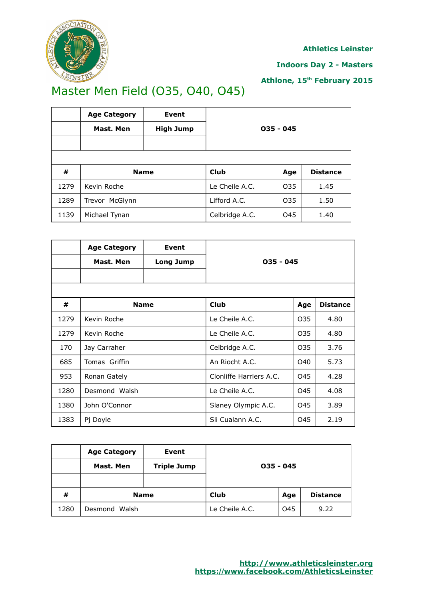

**Indoors Day 2 - Masters**

**Athlone, 15th February 2015**

# Master Men Field (O35, O40, O45)

|      | <b>Age Category</b> | Event            |                |     |                 |  |  |
|------|---------------------|------------------|----------------|-----|-----------------|--|--|
|      | Mast. Men           | <b>High Jump</b> | $035 - 045$    |     |                 |  |  |
|      |                     |                  |                |     |                 |  |  |
|      |                     |                  |                |     |                 |  |  |
| #    | <b>Name</b>         |                  | Club           | Age | <b>Distance</b> |  |  |
| 1279 | Kevin Roche         |                  | Le Cheile A.C. | O35 | 1.45            |  |  |
| 1289 | Trevor McGlynn      |                  | Lifford A.C.   | O35 | 1.50            |  |  |
| 1139 | Michael Tynan       |                  | Celbridge A.C. | O45 | 1.40            |  |  |

|      | <b>Age Category</b> | Event            |                         |     |                 |  |
|------|---------------------|------------------|-------------------------|-----|-----------------|--|
|      | Mast. Men           | <b>Long Jump</b> | $035 - 045$             |     |                 |  |
|      |                     |                  |                         |     |                 |  |
|      |                     |                  |                         |     |                 |  |
| #    | <b>Name</b>         |                  | <b>Club</b>             | Age | <b>Distance</b> |  |
| 1279 | Kevin Roche         |                  | Le Cheile A.C.          | 035 | 4.80            |  |
| 1279 | Kevin Roche         |                  | Le Cheile A.C.          | 035 | 4.80            |  |
| 170  | Jay Carraher        |                  | Celbridge A.C.          | O35 | 3.76            |  |
| 685  | Tomas Griffin       |                  | An Riocht A.C.          | O40 | 5.73            |  |
| 953  | Ronan Gately        |                  | Clonliffe Harriers A.C. | 045 | 4.28            |  |
| 1280 | Desmond Walsh       |                  | Le Cheile A.C.          | 045 | 4.08            |  |
| 1380 | John O'Connor       |                  | Slaney Olympic A.C.     | 045 | 3.89            |  |
| 1383 | Pj Doyle            |                  | Sli Cualann A.C.        | 045 | 2.19            |  |

|      | <b>Age Category</b><br>Mast. Men | Event<br><b>Triple Jump</b> | $035 - 045$<br>Club<br><b>Distance</b><br>Age |     |      |  |  |
|------|----------------------------------|-----------------------------|-----------------------------------------------|-----|------|--|--|
| #    |                                  | <b>Name</b>                 |                                               |     |      |  |  |
| 1280 | Desmond<br>Walsh                 |                             | Le Cheile A.C.                                | O45 | 9.22 |  |  |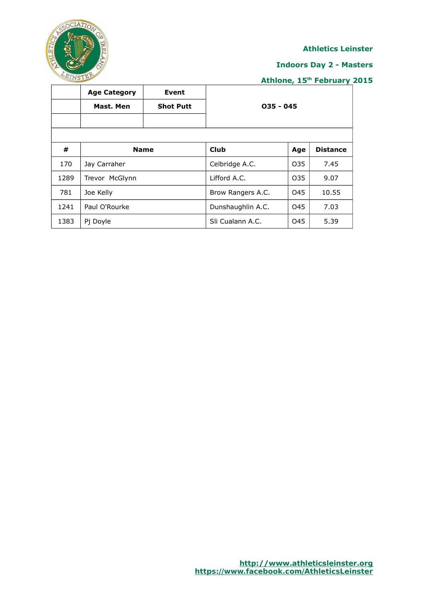

#### **Indoors Day 2 - Masters**

|      | <b>Age Category</b> | Event            |                   |                 |                 |  |
|------|---------------------|------------------|-------------------|-----------------|-----------------|--|
|      | Mast. Men           | <b>Shot Putt</b> | $035 - 045$       |                 |                 |  |
|      |                     |                  |                   |                 |                 |  |
|      |                     |                  |                   |                 |                 |  |
| #    | <b>Name</b>         |                  | <b>Club</b>       | Age             | <b>Distance</b> |  |
| 170  | Jay Carraher        |                  | Celbridge A.C.    | O <sub>35</sub> | 7.45            |  |
| 1289 | Trevor McGlynn      |                  | Lifford A.C.      | O35             | 9.07            |  |
| 781  | Joe Kelly           |                  | Brow Rangers A.C. | O45             | 10.55           |  |
| 1241 | Paul O'Rourke       |                  | Dunshaughlin A.C. | O45             | 7.03            |  |
| 1383 | Pj Doyle            |                  | Sli Cualann A.C.  | O45             | 5.39            |  |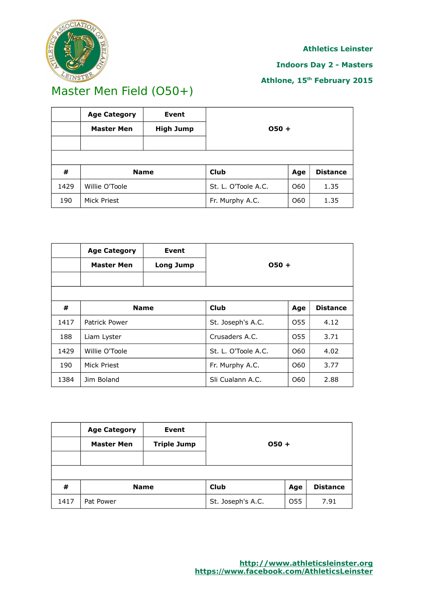

#### **Indoors Day 2 - Masters**

## **Athlone, 15th February 2015**

## Master Men Field (O50+)

|      | <b>Age Category</b>        | Event            |                     |     |                 |  |
|------|----------------------------|------------------|---------------------|-----|-----------------|--|
|      | <b>Master Men</b>          | <b>High Jump</b> | $050 +$             |     |                 |  |
|      |                            |                  |                     |     |                 |  |
|      |                            |                  |                     |     |                 |  |
| #    | Club<br><b>Name</b><br>Age |                  |                     |     | <b>Distance</b> |  |
| 1429 | Willie O'Toole             |                  | St. L. O'Toole A.C. | O60 | 1.35            |  |
| 190  | Mick Priest                |                  | Fr. Murphy A.C.     | O60 | 1.35            |  |

|      | <b>Age Category</b><br><b>Master Men</b> | <b>Event</b><br>Long Jump | $050 +$             |                 |                 |
|------|------------------------------------------|---------------------------|---------------------|-----------------|-----------------|
| #    | <b>Name</b>                              |                           | Club                | Age             | <b>Distance</b> |
| 1417 | Patrick Power                            |                           | St. Joseph's A.C.   | O <sub>55</sub> | 4.12            |
| 188  | Liam Lyster                              |                           | Crusaders A.C.      | O <sub>55</sub> | 3.71            |
| 1429 | Willie O'Toole                           |                           | St. L. O'Toole A.C. | O60             | 4.02            |
| 190  | Mick Priest                              |                           | Fr. Murphy A.C.     | O60             | 3.77            |
| 1384 | Jim Boland                               |                           | Sli Cualann A.C.    | O60             | 2.88            |

|      | <b>Age Category</b><br><b>Master Men</b> | Event<br><b>Triple Jump</b> | $050 +$           |     |                 |
|------|------------------------------------------|-----------------------------|-------------------|-----|-----------------|
| #    |                                          | <b>Name</b>                 | <b>Club</b>       | Age | <b>Distance</b> |
| 1417 | Pat Power                                |                             | St. Joseph's A.C. | O55 | 7.91            |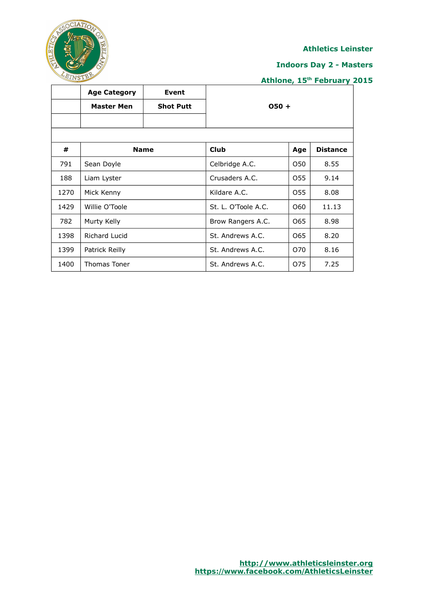

#### **Indoors Day 2 - Masters**

|      | <b>Age Category</b> | Event            |                     |     |                 |  |
|------|---------------------|------------------|---------------------|-----|-----------------|--|
|      | <b>Master Men</b>   | <b>Shot Putt</b> | $050 +$             |     |                 |  |
|      |                     |                  |                     |     |                 |  |
| #    |                     | <b>Name</b>      | <b>Club</b>         | Age | <b>Distance</b> |  |
| 791  | Sean Doyle          |                  | Celbridge A.C.      | O50 | 8.55            |  |
| 188  | Liam Lyster         |                  | Crusaders A.C.      | 055 | 9.14            |  |
| 1270 | Mick Kenny          |                  | Kildare A.C.        | 055 | 8.08            |  |
| 1429 | Willie O'Toole      |                  | St. L. O'Toole A.C. | O60 | 11.13           |  |
| 782  | Murty Kelly         |                  | Brow Rangers A.C.   | 065 | 8.98            |  |
| 1398 | Richard Lucid       |                  | St. Andrews A.C.    | 065 | 8.20            |  |
| 1399 | Patrick Reilly      |                  | St. Andrews A.C.    | 070 | 8.16            |  |
| 1400 | Thomas Toner        |                  | St. Andrews A.C.    | 075 | 7.25            |  |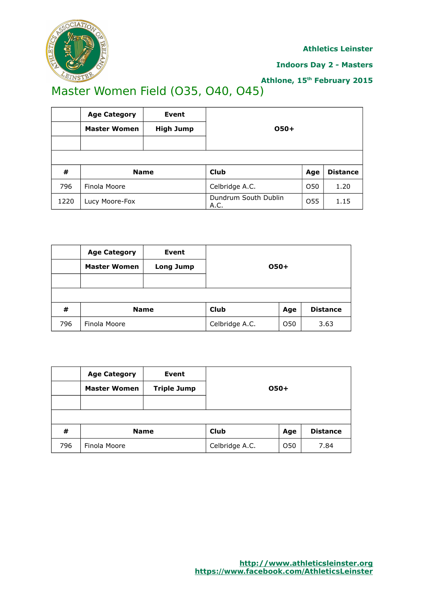

#### **Indoors Day 2 - Masters**

## **Athlone, 15th February 2015**

# Master Women Field (O35, O40, O45)

|      | <b>Age Category</b>                                  | Event            |                              |     |      |  |
|------|------------------------------------------------------|------------------|------------------------------|-----|------|--|
|      | <b>Master Women</b>                                  | <b>High Jump</b> | 050+                         |     |      |  |
|      |                                                      |                  |                              |     |      |  |
|      |                                                      |                  |                              |     |      |  |
| #    | <b>Club</b><br><b>Distance</b><br><b>Name</b><br>Age |                  |                              |     |      |  |
| 796  | Finola Moore                                         |                  | Celbridge A.C.               | O50 | 1.20 |  |
| 1220 | Lucy Moore-Fox                                       |                  | Dundrum South Dublin<br>A.C. | O55 | 1.15 |  |

|     | <b>Age Category</b>               | Event            | $050+$         |                 |      |  |
|-----|-----------------------------------|------------------|----------------|-----------------|------|--|
|     | <b>Master Women</b>               | <b>Long Jump</b> |                |                 |      |  |
|     |                                   |                  |                |                 |      |  |
|     |                                   |                  |                |                 |      |  |
| #   | <b>Club</b><br><b>Name</b><br>Age |                  |                | <b>Distance</b> |      |  |
| 796 | Finola Moore                      |                  | Celbridge A.C. | O <sub>50</sub> | 3.63 |  |

|     | <b>Age Category</b>               | Event              |                |                 |                 |  |
|-----|-----------------------------------|--------------------|----------------|-----------------|-----------------|--|
|     | <b>Master Women</b>               | <b>Triple Jump</b> | $O50+$         |                 |                 |  |
|     |                                   |                    |                |                 |                 |  |
|     |                                   |                    |                |                 |                 |  |
| #   | <b>Club</b><br><b>Name</b><br>Age |                    |                |                 | <b>Distance</b> |  |
| 796 | Finola Moore                      |                    | Celbridge A.C. | O <sub>50</sub> | 7.84            |  |